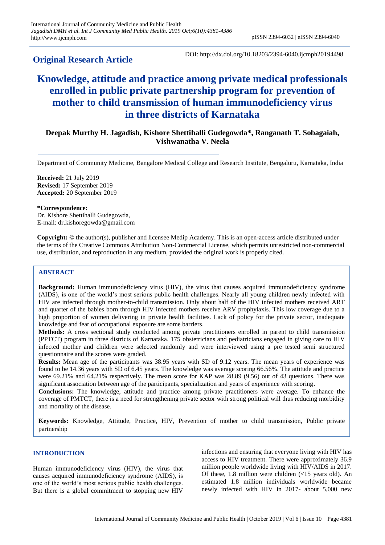**Original Research Article**

DOI: http://dx.doi.org/10.18203/2394-6040.ijcmph20194498

# **Knowledge, attitude and practice among private medical professionals enrolled in public private partnership program for prevention of mother to child transmission of human immunodeficiency virus in three districts of Karnataka**

**Deepak Murthy H. Jagadish, Kishore Shettihalli Gudegowda\*, Ranganath T. Sobagaiah, Vishwanatha V. Neela**

Department of Community Medicine, Bangalore Medical College and Research Institute, Bengaluru, Karnataka, India

**Received:** 21 July 2019 **Revised:** 17 September 2019 **Accepted:** 20 September 2019

### **\*Correspondence:**

Dr. Kishore Shettihalli Gudegowda, E-mail: dr.kishoregowda@gmail.com

**Copyright:** © the author(s), publisher and licensee Medip Academy. This is an open-access article distributed under the terms of the Creative Commons Attribution Non-Commercial License, which permits unrestricted non-commercial use, distribution, and reproduction in any medium, provided the original work is properly cited.

# **ABSTRACT**

**Background:** Human immunodeficiency virus (HIV), the virus that causes acquired immunodeficiency syndrome (AIDS), is one of the world's most serious public health challenges. Nearly all young children newly infected with HIV are infected through mother-to-child transmission. Only about half of the HIV infected mothers received ART and quarter of the babies born through HIV infected mothers receive ARV prophylaxis. This low coverage due to a high proportion of women delivering in private health facilities. Lack of policy for the private sector, inadequate knowledge and fear of occupational exposure are some barriers.

**Methods:** A cross sectional study conducted among private practitioners enrolled in parent to child transmission (PPTCT) program in three districts of Karnataka. 175 obstetricians and pediatricians engaged in giving care to HIV infected mother and children were selected randomly and were interviewed using a pre tested semi structured questionnaire and the scores were graded.

**Results:** Mean age of the participants was 38.95 years with SD of 9.12 years. The mean years of experience was found to be 14.36 years with SD of 6.45 years. The knowledge was average scoring 66.56%. The attitude and practice were 69.21% and 64.21% respectively. The mean score for KAP was 28.89 (9.56) out of 43 questions. There was significant association between age of the participants, specialization and years of experience with scoring.

**Conclusions:** The knowledge, attitude and practice among private practitioners were average. To enhance the coverage of PMTCT, there is a need for strengthening private sector with strong political will thus reducing morbidity and mortality of the disease.

**Keywords:** Knowledge, Attitude, Practice, HIV, Prevention of mother to child transmission, Public private partnership

### **INTRODUCTION**

Human immunodeficiency virus (HIV), the virus that causes acquired immunodeficiency syndrome (AIDS), is one of the world's most serious public health challenges. But there is a global commitment to stopping new HIV

infections and ensuring that everyone living with HIV has access to HIV treatment. There were approximately 36.9 million people worldwide living with HIV/AIDS in 2017. Of these, 1.8 million were children (<15 years old). An estimated 1.8 million individuals worldwide became newly infected with HIV in 2017- about 5,000 new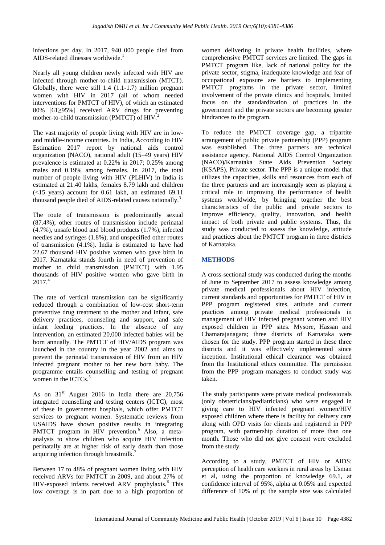infections per day. In 2017, 940 000 people died from AIDS-related illnesses worldwide.<sup>1</sup>

Nearly all young children newly infected with HIV are infected through mother-to-child transmission (MTCT). Globally, there were still 1.4 (1.1-1.7) million pregnant women with HIV in 2017 (all of whom needed interventions for PMTCT of HIV), of which an estimated 80% [61≥95%] received ARV drugs for preventing mother-to-child transmission (PMTCT) of HIV.<sup>2</sup>

The vast majority of people living with HIV are in lowand middle-income countries. In India, According to HIV Estimation 2017 report by national aids control organization (NACO), national adult (15–49 years) HIV prevalence is estimated at 0.22% in 2017; 0.25% among males and 0.19% among females. In 2017, the total number of people living with HIV (PLHIV) in India is estimated at 21.40 lakhs, females 8.79 lakh and children  $(<15$  years) account for 0.61 lakh, an estimated 69.11 thousand people died of AIDS-related causes nationally.<sup>3</sup>

The route of transmission is predominantly sexual (87.4%); other routes of transmission include perinatal (4.7%), unsafe blood and blood products (1.7%), infected needles and syringes (1.8%), and unspecified other routes of transmission (4.1%). India is estimated to have had 22.67 thousand HIV positive women who gave birth in 2017. Karnataka stands fourth in need of prevention of mother to child transmission (PMTCT) with 1.95 thousands of HIV positive women who gave birth in 2017.<sup>4</sup>

The rate of vertical transmission can be significantly reduced through a combination of low-cost short-term preventive drug treatment to the mother and infant, safe delivery practices, counseling and support, and safe infant feeding practices. In the absence of any intervention, an estimated 20,000 infected babies will be born annually. The PMTCT of HIV/AIDS program was launched in the country in the year 2002 and aims to prevent the perinatal transmission of HIV from an HIV infected pregnant mother to her new born baby. The programme entails counselling and testing of pregnant women in the ICTCs. $5$ 

As on  $31<sup>st</sup>$  August 2016 in India there are 20,756 integrated counselling and testing centers (ICTC), most of these in government hospitals, which offer PMTCT services to pregnant women. Systematic reviews from USAIDS have shown positive results in integrating PMTCT program in HIV prevention.<sup>6</sup> Also, a metaanalysis to show children who acquire HIV infection perinatally are at higher risk of early death than those acquiring infection through breastmilk.

Between 17 to 48% of pregnant women living with HIV received ARVs for PMTCT in 2009, and about 27% of HIV-exposed infants received ARV prophylaxis.<sup>8</sup> This low coverage is in part due to a high proportion of women delivering in private health facilities, where comprehensive PMTCT services are limited. The gaps in PMTCT program like, lack of national policy for the private sector, stigma, inadequate knowledge and fear of occupational exposure are barriers to implementing PMTCT programs in the private sector, limited involvement of the private clinics and hospitals, limited focus on the standardization of practices in the government and the private sectors are becoming greater hindrances to the program.

To reduce the PMTCT coverage gap, a tripartite arrangement of public private partnership (PPP) program was established. The three partners are technical assistance agency, National AIDS Control Organization (NACO)/Karnataka State Aids Prevention Society (KSAPS), Private sector. The PPP is a unique model that utilizes the capacities, skills and resources from each of the three partners and are increasingly seen as playing a critical role in improving the performance of health systems worldwide, by bringing together the best characteristics of the public and private sectors to improve efficiency, quality, innovation, and health impact of both private and public systems. Thus, the study was conducted to assess the knowledge, attitude and practices about the PMTCT program in three districts of Karnataka.

# **METHODS**

A cross-sectional study was conducted during the months of June to September 2017 to assess knowledge among private medical professionals about HIV infection, current standards and opportunities for PMTCT of HIV in PPP program registered sites, attitude and current practices among private medical professionals in management of HIV infected pregnant women and HIV exposed children in PPP sites. Mysore, Hassan and Chamarajanagara; three districts of Karnataka were chosen for the study. PPP program started in these three districts and it was effectively implemented since inception. Institutional ethical clearance was obtained from the Institutional ethics committee. The permission from the PPP program managers to conduct study was taken.

The study participants were private medical professionals (only obstetricians/pediatricians) who were engaged in giving care to HIV infected pregnant women/HIV exposed children where there is facility for delivery care along with OPD visits for clients and registered in PPP program, with partnership duration of more than one month. Those who did not give consent were excluded from the study.

According to a study, PMTCT of HIV or AIDS: perception of health care workers in rural areas by Usman et al, using the proportion of knowledge 69.1, at confidence interval of 95%, alpha at 0.05% and expected difference of 10% of p; the sample size was calculated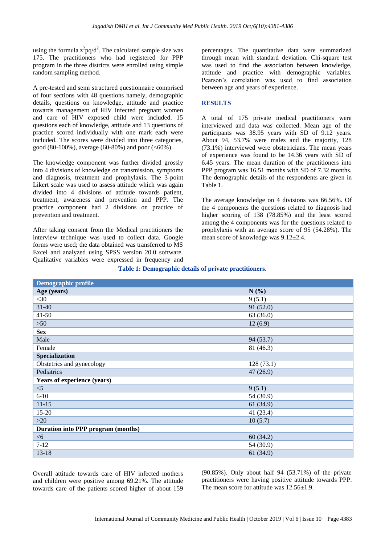using the formula  $z^2 pq/d^2$ . The calculated sample size was 175. The practitioners who had registered for PPP program in the three districts were enrolled using simple random sampling method.

A pre-tested and semi structured questionnaire comprised of four sections with 48 questions namely, demographic details, questions on knowledge, attitude and practice towards management of HIV infected pregnant women and care of HIV exposed child were included. 15 questions each of knowledge, attitude and 13 questions of practice scored individually with one mark each were included. The scores were divided into three categories, good (80-100%), average (60-80%) and poor ( $\langle 60\%$ ).

The knowledge component was further divided grossly into 4 divisions of knowledge on transmission, symptoms and diagnosis, treatment and prophylaxis. The 3-point Likert scale was used to assess attitude which was again divided into 4 divisions of attitude towards patient, treatment, awareness and prevention and PPP. The practice component had 2 divisions on practice of prevention and treatment.

After taking consent from the Medical practitioners the interview technique was used to collect data. Google forms were used; the data obtained was transferred to MS Excel and analyzed using SPSS version 20.0 software. Qualitative variables were expressed in frequency and percentages. The quantitative data were summarized through mean with standard deviation. Chi-square test was used to find the association between knowledge, attitude and practice with demographic variables. Pearson's correlation was used to find association between age and years of experience.

# **RESULTS**

A total of 175 private medical practitioners were interviewed and data was collected. Mean age of the participants was 38.95 years with SD of 9.12 years. About 94, 53.7% were males and the majority, 128 (73.1%) interviewed were obstetricians. The mean years of experience was found to be 14.36 years with SD of 6.45 years. The mean duration of the practitioners into PPP program was 16.51 months with SD of 7.32 months. The demographic details of the respondents are given in Table 1.

The average knowledge on 4 divisions was 66.56%. Of the 4 components the questions related to diagnosis had higher scoring of 138 (78.85%) and the least scored among the 4 components was for the questions related to prophylaxis with an average score of 95 (54.28%). The mean score of knowledge was 9.12±2.4.

# **Table 1: Demographic details of private practitioners.**

| Demographic profile                       |           |  |  |
|-------------------------------------------|-----------|--|--|
| Age (years)                               | N(%)      |  |  |
| $<$ 30                                    | 9(5.1)    |  |  |
| $31 - 40$                                 | 91 (52.0) |  |  |
| $41 - 50$                                 | 63 (36.0) |  |  |
| $>50$                                     | 12(6.9)   |  |  |
| <b>Sex</b>                                |           |  |  |
| Male                                      | 94 (53.7) |  |  |
| Female                                    | 81 (46.3) |  |  |
| Specialization                            |           |  |  |
| Obstetrics and gynecology                 | 128(73.1) |  |  |
| Pediatrics                                | 47 (26.9) |  |  |
| Years of experience (years)               |           |  |  |
| $<$ 5                                     | 9(5.1)    |  |  |
| $6 - 10$                                  | 54 (30.9) |  |  |
| $11 - 15$                                 | 61 (34.9) |  |  |
| $15 - 20$                                 | 41 (23.4) |  |  |
| $>20$                                     | 10(5.7)   |  |  |
| <b>Duration into PPP program (months)</b> |           |  |  |
| <6                                        | 60(34.2)  |  |  |
| $7 - 12$                                  | 54 (30.9) |  |  |
| $13 - 18$                                 | 61 (34.9) |  |  |

Overall attitude towards care of HIV infected mothers and children were positive among 69.21%. The attitude towards care of the patients scored higher of about 159 (90.85%). Only about half 94 (53.71%) of the private practitioners were having positive attitude towards PPP. The mean score for attitude was  $12.56 \pm 1.9$ .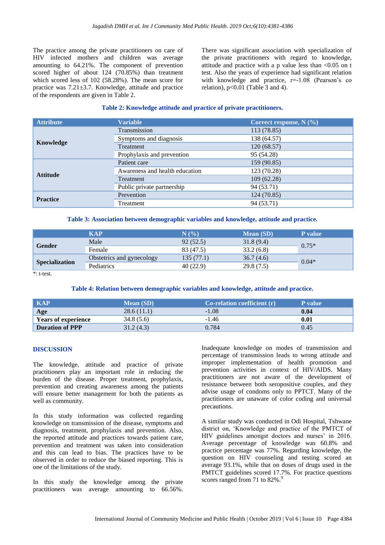The practice among the private practitioners on care of HIV infected mothers and children was average amounting to 64.21%. The component of prevention scored higher of about 124 (70.85%) than treatment which scored less of 102 (58.28%). The mean score for practice was 7.21±3.7. Knowledge, attitude and practice of the respondents are given in Table 2.

There was significant association with specialization of the private practitioners with regard to knowledge, attitude and practice with a p value less than  $\leq 0.05$  on t test. Also the years of experience had significant relation with knowledge and practice,  $r = -1.08$  (Pearson's co relation),  $p<0.01$  (Table 3 and 4).

## **Table 2: Knowledge attitude and practice of private practitioners.**

| <b>Attribute</b> | <b>Variable</b>                | Correct response, $N$ (%) |  |
|------------------|--------------------------------|---------------------------|--|
| Knowledge        | Transmission                   | 113 (78.85)               |  |
|                  | Symptoms and diagnosis         | 138 (64.57)               |  |
|                  | Treatment                      | 120(68.57)                |  |
|                  | Prophylaxis and prevention     | 95 (54.28)                |  |
|                  | Patient care                   | 159 (90.85)               |  |
| <b>Attitude</b>  | Awareness and health education | 123 (70.28)               |  |
|                  | <b>Treatment</b>               | 109(62.28)                |  |
|                  | Public private partnership     | 94 (53.71)                |  |
|                  | Prevention                     | 124 (70.85)               |  |
| <b>Practice</b>  | Treatment                      | 94 (53.71)                |  |

**Table 3: Association between demographic variables and knowledge, attitude and practice.**

|                                                                                     | <b>KAP</b>                | N(%       | <b>Mean</b> (SD) | <b>P</b> value |
|-------------------------------------------------------------------------------------|---------------------------|-----------|------------------|----------------|
| Gender                                                                              | Male                      | 92(52.5)  | 31.8(9.4)        | $0.75*$        |
|                                                                                     | Female                    | 83 (47.5) | 33.2(6.8)        |                |
| <b>Specialization</b>                                                               | Obstetrics and gynecology | 135(77.1) | 36.7(4.6)        | $0.04*$        |
|                                                                                     | Pediatrics                | 40 (22.9) | 29.8(7.5)        |                |
| and the contract of the contract of the contract of the contract of the contract of |                           |           |                  |                |

\*: t-test.

## **Table 4: Relation between demographic variables and knowledge, attitude and practice.**

| <b>KAP</b>          | <b>Mean</b> (SD) | <b>Co-relation coefficient (r)</b> | <b>P</b> value |
|---------------------|------------------|------------------------------------|----------------|
| Age                 | 28.6(11.1)       | $-1.08$                            | 0.04           |
| Years of experience | 34.8 (5.6)       | $-1.46$                            | 0.01           |
| Duration of PPP     | 31.2(4.3)        | 0.784                              | 0.45           |

### **DISCUSSION**

The knowledge, attitude and practice of private practitioners play an important role in reducing the burden of the disease. Proper treatment, prophylaxis, prevention and creating awareness among the patients will ensure better management for both the patients as well as community.

In this study information was collected regarding knowledge on transmission of the disease, symptoms and diagnosis, treatment, prophylaxis and prevention. Also, the reported attitude and practices towards patient care, prevention and treatment was taken into consideration and this can lead to bias. The practices have to be observed in order to reduce the biased reporting. This is one of the limitations of the study.

In this study the knowledge among the private practitioners was average amounting to 66.56%. Inadequate knowledge on modes of transmission and percentage of transmission leads to wrong attitude and improper implementation of health promotion and prevention activities in context of HIV/AIDS. Many practitioners are not aware of the development of resistance between both seropositive couples, and they advise usage of condoms only to PPTCT. Many of the practitioners are unaware of color coding and universal precautions.

A similar study was conducted in Odi Hospital, Tshwane district on, 'Knowledge and practice of the PMTCT of HIV guidelines amongst doctors and nurses' in 2016. Average percentage of knowledge was 60.8% and practice percentage was 77%. Regarding knowledge, the question on HIV counseling and testing scored an average 93.1%, while that on doses of drugs used in the PMTCT guidelines scored 17.7%. For practice questions scores ranged from 71 to 82%.<sup>9</sup>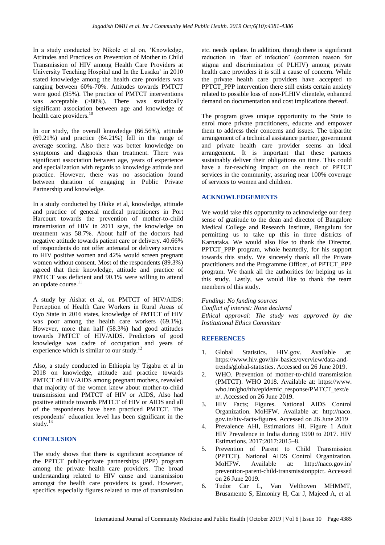In a study conducted by Nikole et al on, 'Knowledge, Attitudes and Practices on Prevention of Mother to Child Transmission of HIV among Health Care Providers at University Teaching Hospital and In the Lusaka' in 2010 stated knowledge among the health care providers was ranging between 60%-70%. Attitudes towards PMTCT were good (95%). The practice of PMTCT interventions was acceptable (>80%). There was statistically significant association between age and knowledge of health care providers.<sup>10</sup>

In our study, the overall knowledge (66.56%), attitude (69.21%) and practice (64.21%) fell in the range of average scoring. Also there was better knowledge on symptoms and diagnosis than treatment. There was significant association between age, years of experience and specialization with regards to knowledge attitude and practice. However, there was no association found between duration of engaging in Public Private Partnership and knowledge.

In a study conducted by Okike et al, knowledge, attitude and practice of general medical practitioners in Port Harcourt towards the prevention of mother-to-child transmission of HIV in 2011 says, the knowledge on treatment was 58.7%. About half of the doctors had negative attitude towards patient care or delivery. 40.66% of respondents do not offer antenatal or delivery services to HIV positive women and 42% would screen pregnant women without consent. Most of the respondents (89.3%) agreed that their knowledge, attitude and practice of PMTCT was deficient and 90.1% were willing to attend an update course. $<sup>1</sup>$ </sup>

A study by Aishat et al, on PMTCT of HIV/AIDS: Perception of Health Care Workers in Rural Areas of Oyo State in 2016 states, knowledge of PMTCT of HIV was poor among the health care workers (69.1%). However, more than half (58.3%) had good attitudes towards PMTCT of HIV/AIDS. Predictors of good knowledge was cadre of occupation and years of experience which is similar to our study.<sup>12</sup>

Also, a study conducted in Ethiopia by Tigabu et al in 2018 on knowledge, attitude and practice towards PMTCT of HIV/AIDS among pregnant mothers, revealed that majority of the women knew about mother-to-child transmission and PMTCT of HIV or AIDS, Also had positive attitude towards PMTCT of HIV or AIDS and all of the respondents have been practiced PMTCT. The respondents' education level has been significant in the study. $13$ 

## **CONCLUSION**

The study shows that there is significant acceptance of the PPTCT public-private partnerships (PPP) program among the private health care providers. The broad understanding related to HIV cause and transmission amongst the health care providers is good. However, specifics especially figures related to rate of transmission

etc. needs update. In addition, though there is significant reduction in 'fear of infection' (common reason for stigma and discrimination of PLHIV) among private health care providers it is still a cause of concern. While the private health care providers have accepted to PPTCT\_PPP intervention there still exists certain anxiety related to possible loss of non-PLHIV clientele, enhanced demand on documentation and cost implications thereof.

The program gives unique opportunity to the State to enrol more private practitioners, educate and empower them to address their concerns and issues. The tripartite arrangement of a technical assistance partner, government and private health care provider seems an ideal arrangement. It is important that these partners sustainably deliver their obligations on time. This could have a far-reaching impact on the reach of PPTCT services in the community, assuring near 100% coverage of services to women and children.

## **ACKNOWLEDGEMENTS**

We would take this opportunity to acknowledge our deep sense of gratitude to the dean and director of Bangalore Medical College and Research Institute, Bengaluru for permitting us to take up this in three districts of Karnataka. We would also like to thank the Director, PPTCT\_PPP program, whole heartedly, for his support towards this study. We sincerely thank all the Private practitioners and the Programme Officer, of PPTCT\_PPP program. We thank all the authorities for helping us in this study. Lastly, we would like to thank the team members of this study.

*Funding: No funding sources*

*Conflict of interest: None declared Ethical approval: The study was approved by the Institutional Ethics Committee*

### **REFERENCES**

- 1. Global Statistics. HIV.gov. Available at: https://www.hiv.gov/hiv-basics/overview/data-andtrends/global-statistics. Accessed on 26 June 2019.
- 2. WHO. Prevention of mother-to-child transmission (PMTCT). WHO 2018. Available at: https://www. who.int/gho/hiv/epidemic\_response/PMTCT\_text/e n/. Accessed on 26 June 2019.
- 3. HIV Facts; Figures. National AIDS Control Organization. MoHFW. Available at: http://naco. gov.in/hiv-facts-figures. Accessed on 26 June 2019
- 4. Prevalence AHI, Estimations HI. Figure 1 Adult HIV Prevalence in India during 1990 to 2017. HIV Estimations. 2017;2017:2015–8.
- 5. Prevention of Parent to Child Transmission (PPTCT). National AIDS Control Organization. MoHFW. Available at: http://naco.gov.in/ prevention-parent-child-transmissionpptct. Accessed on 26 June 2019.
- 6. Tudor Car L, Van Velthoven MHMMT, Brusamento S, Elmoniry H, Car J, Majeed A, et al.